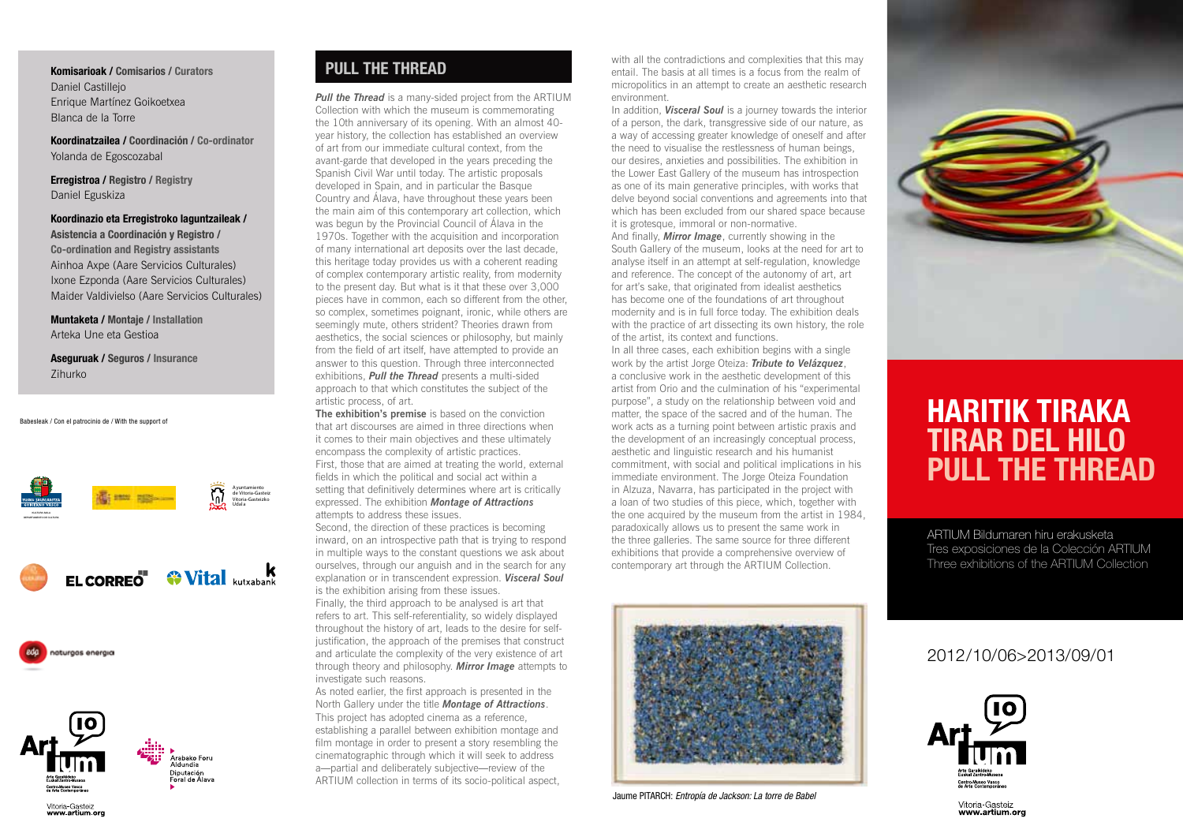### **Komisarioak / Comisarios / Curators** Daniel Castillejo Enrique Martínez Goikoetxea Blanca de la Torre

**Koordinatzailea / Coordinación / Co-ordinator** Yolanda de Egoscozabal

**Erregistroa / Registro / Registry** Daniel Eguskiza

**Koordinazio eta Erregistroko laguntzaileak / Asistencia a Coordinación y Registro / Co-ordination and Registry assistants** Ainhoa Axpe (Aare Servicios Culturales) Ixone Ezponda (Aare Servicios Culturales) Maider Valdivielso (Aare Servicios Culturales)

**Muntaketa / Montaje / Installation** Arteka Une eta Gestioa

**Aseguruak / Seguros / Insurance** Zihurko

#### Babesleak / Con el patrocinio de / With the support of







Vitoria-Gasteiz

www.artium.org



### **PULL THE THREAD**

*Pull the Thread* is a many-sided project from the ARTIUM Collection with which the museum is commemorating the 10th anniversary of its opening. With an almost 40 year history, the collection has established an overview of art from our immediate cultural context, from the avant-garde that developed in the years preceding the Spanish Civil War until today. The artistic proposals developed in Spain, and in particular the Basque Country and Álava, have throughout these years been the main aim of this contemporary art collection, which was begun by the Provincial Council of Álava in the 1970s. Together with the acquisition and incorporation of many international art deposits over the last decade, this heritage today provides us with a coherent reading of complex contemporary artistic reality, from modernity to the present day. But what is it that these over 3,000 pieces have in common, each so different from the other, so complex, sometimes poignant, ironic, while others are seemingly mute, others strident? Theories drawn from aesthetics, the social sciences or philosophy, but mainly from the field of art itself, have attempted to provide an answer to this question. Through three interconnected exhibitions, *Pull the Thread* presents a multi-sided approach to that which constitutes the subject of the artistic process, of art.

**The exhibition's premise** is based on the conviction that art discourses are aimed in three directions when it comes to their main objectives and these ultimately encompass the complexity of artistic practices. First, those that are aimed at treating the world, external fields in which the political and social act within a setting that definitively determines where art is critically expressed. The exhibition *Montage of Attractions* attempts to address these issues.

Second, the direction of these practices is becoming inward, on an introspective path that is trying to respond in multiple ways to the constant questions we ask about ourselves, through our anguish and in the search for any explanation or in transcendent expression. *Visceral Soul* is the exhibition arising from these issues. Finally, the third approach to be analysed is art that refers to art. This self-referentiality, so widely displayed throughout the history of art, leads to the desire for selfjustification, the approach of the premises that construct and articulate the complexity of the very existence of art through theory and philosophy. *Mirror Image* attempts to investigate such reasons.

As noted earlier, the first approach is presented in the North Gallery under the title *Montage of Attractions*. This project has adopted cinema as a reference, establishing a parallel between exhibition montage and film montage in order to present a story resembling the cinematographic through which it will seek to address a—partial and deliberately subjective—review of the ARTIUM collection in terms of its socio-political aspect,

with all the contradictions and complexities that this may entail. The basis at all times is a focus from the realm of micropolitics in an attempt to create an aesthetic research environment.

In addition, *Visceral Soul* is a journey towards the interior of a person, the dark, transgressive side of our nature, as a way of accessing greater knowledge of oneself and after the need to visualise the restlessness of human beings, our desires, anxieties and possibilities. The exhibition in the Lower East Gallery of the museum has introspection as one of its main generative principles, with works that delve beyond social conventions and agreements into that which has been excluded from our shared space because it is grotesque, immoral or non-normative. And finally, *Mirror Image*, currently showing in the South Gallery of the museum, looks at the need for art to analyse itself in an attempt at self-regulation, knowledge and reference. The concept of the autonomy of art, art for art's sake, that originated from idealist aesthetics has become one of the foundations of art throughout modernity and is in full force today. The exhibition deals with the practice of art dissecting its own history, the role of the artist, its context and functions.

In all three cases, each exhibition begins with a single work by the artist Jorge Oteiza: *Tribute to Velázquez*, a conclusive work in the aesthetic development of this artist from Orio and the culmination of his "experimental purpose", a study on the relationship between void and matter, the space of the sacred and of the human. The work acts as a turning point between artistic praxis and the development of an increasingly conceptual process, aesthetic and linguistic research and his humanist commitment, with social and political implications in his immediate environment. The Jorge Oteiza Foundation in Alzuza, Navarra, has participated in the project with a loan of two studies of this piece, which, together with the one acquired by the museum from the artist in 1984, paradoxically allows us to present the same work in the three galleries. The same source for three different exhibitions that provide a comprehensive overview of contemporary art through the ARTIUM Collection.



Jaume PITARCH: *Entropía de Jackson: La torre de Babel*



# **HARITIK TIRAKA TIRAR DEL HILO PULL THE THREAD**

ARTIUM Bildumaren hiru erakusketa Tres exposiciones de la Colección ARTIUM Three exhibitions of the ARTIUM Collection

### 2012/10/06>2013/09/01



Vitoria-Gasteiz www.artium.org